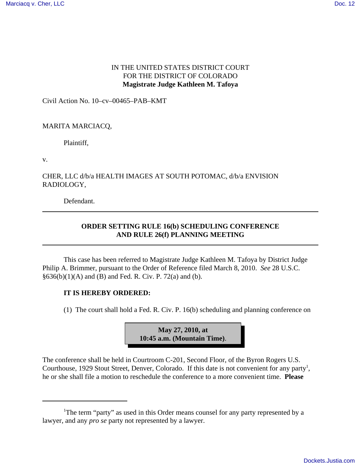## IN THE UNITED STATES DISTRICT COURT FOR THE DISTRICT OF COLORADO **Magistrate Judge Kathleen M. Tafoya**

Civil Action No. 10–cv–00465–PAB–KMT

### MARITA MARCIACQ,

Plaintiff,

v.

# CHER, LLC d/b/a HEALTH IMAGES AT SOUTH POTOMAC, d/b/a ENVISION RADIOLOGY,

Defendant.

# **ORDER SETTING RULE 16(b) SCHEDULING CONFERENCE AND RULE 26(f) PLANNING MEETING**

This case has been referred to Magistrate Judge Kathleen M. Tafoya by District Judge Philip A. Brimmer, pursuant to the Order of Reference filed March 8, 2010. *See* 28 U.S.C.  $§636(b)(1)(A)$  and (B) and Fed. R. Civ. P. 72(a) and (b).

### **IT IS HEREBY ORDERED:**

(1) The court shall hold a Fed. R. Civ. P. 16(b) scheduling and planning conference on



The conference shall be held in Courtroom C-201, Second Floor, of the Byron Rogers U.S. Courthouse, 1929 Stout Street, Denver, Colorado. If this date is not convenient for any party<sup>1</sup>, he or she shall file a motion to reschedule the conference to a more convenient time. **Please**

<sup>&</sup>lt;sup>1</sup>The term "party" as used in this Order means counsel for any party represented by a lawyer, and any *pro se* party not represented by a lawyer.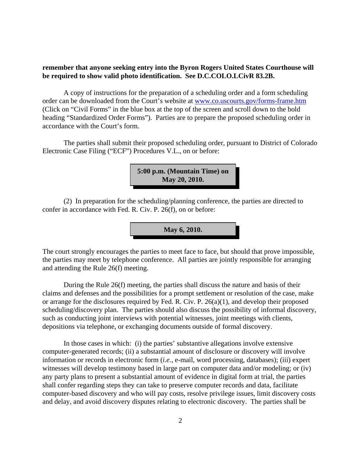### **remember that anyone seeking entry into the Byron Rogers United States Courthouse will be required to show valid photo identification. See D.C.COLO.LCivR 83.2B.**

A copy of instructions for the preparation of a scheduling order and a form scheduling order can be downloaded from the Court's website at www.co.uscourts.gov/forms-frame.htm (Click on "Civil Forms" in the blue box at the top of the screen and scroll down to the bold heading "Standardized Order Forms"). Parties are to prepare the proposed scheduling order in accordance with the Court's form.

The parties shall submit their proposed scheduling order, pursuant to District of Colorado Electronic Case Filing ("ECF") Procedures V.L., on or before:



(2) In preparation for the scheduling/planning conference, the parties are directed to confer in accordance with Fed. R. Civ. P. 26(f), on or before:

**May 6, 2010.**

The court strongly encourages the parties to meet face to face, but should that prove impossible, the parties may meet by telephone conference. All parties are jointly responsible for arranging and attending the Rule 26(f) meeting.

During the Rule 26(f) meeting, the parties shall discuss the nature and basis of their claims and defenses and the possibilities for a prompt settlement or resolution of the case, make or arrange for the disclosures required by Fed. R. Civ. P. 26(a)(1), and develop their proposed scheduling/discovery plan. The parties should also discuss the possibility of informal discovery, such as conducting joint interviews with potential witnesses, joint meetings with clients, depositions via telephone, or exchanging documents outside of formal discovery.

In those cases in which: (i) the parties' substantive allegations involve extensive computer-generated records; (ii) a substantial amount of disclosure or discovery will involve information or records in electronic form (*i.e.,* e-mail, word processing, databases); (iii) expert witnesses will develop testimony based in large part on computer data and/or modeling; or (iv) any party plans to present a substantial amount of evidence in digital form at trial, the parties shall confer regarding steps they can take to preserve computer records and data, facilitate computer-based discovery and who will pay costs, resolve privilege issues, limit discovery costs and delay, and avoid discovery disputes relating to electronic discovery. The parties shall be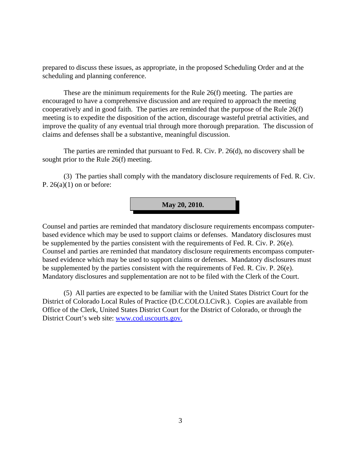prepared to discuss these issues, as appropriate, in the proposed Scheduling Order and at the scheduling and planning conference.

These are the minimum requirements for the Rule 26(f) meeting. The parties are encouraged to have a comprehensive discussion and are required to approach the meeting cooperatively and in good faith. The parties are reminded that the purpose of the Rule 26(f) meeting is to expedite the disposition of the action, discourage wasteful pretrial activities, and improve the quality of any eventual trial through more thorough preparation. The discussion of claims and defenses shall be a substantive, meaningful discussion.

The parties are reminded that pursuant to Fed. R. Civ. P. 26(d), no discovery shall be sought prior to the Rule 26(f) meeting.

(3) The parties shall comply with the mandatory disclosure requirements of Fed. R. Civ. P.  $26(a)(1)$  on or before:



Counsel and parties are reminded that mandatory disclosure requirements encompass computerbased evidence which may be used to support claims or defenses. Mandatory disclosures must be supplemented by the parties consistent with the requirements of Fed. R. Civ. P. 26(e). Counsel and parties are reminded that mandatory disclosure requirements encompass computerbased evidence which may be used to support claims or defenses. Mandatory disclosures must be supplemented by the parties consistent with the requirements of Fed. R. Civ. P. 26(e). Mandatory disclosures and supplementation are not to be filed with the Clerk of the Court.

(5) All parties are expected to be familiar with the United States District Court for the District of Colorado Local Rules of Practice (D.C.COLO.LCivR.). Copies are available from Office of the Clerk, United States District Court for the District of Colorado, or through the District Court's web site: www.cod.uscourts.gov.